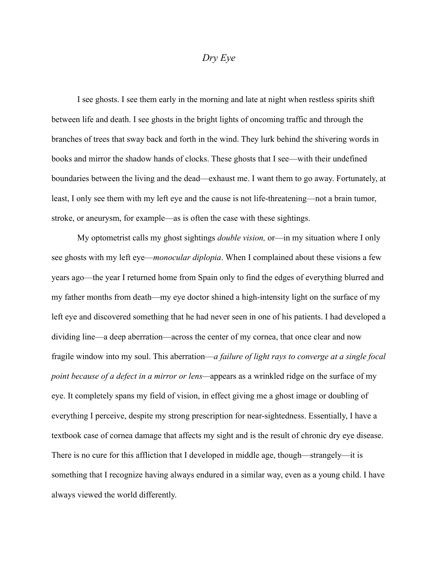## *Dry Eye*

I see ghosts. I see them early in the morning and late at night when restless spirits shift between life and death. I see ghosts in the bright lights of oncoming traffic and through the branches of trees that sway back and forth in the wind. They lurk behind the shivering words in books and mirror the shadow hands of clocks. These ghosts that I see—with their undefined boundaries between the living and the dead—exhaust me. I want them to go away. Fortunately, at least, I only see them with my left eye and the cause is not life-threatening—not a brain tumor, stroke, or aneurysm, for example—as is often the case with these sightings.

My optometrist calls my ghost sightings *double vision,* or—in my situation where I only see ghosts with my left eye—*monocular diplopia*. When I complained about these visions a few years ago—the year I returned home from Spain only to find the edges of everything blurred and my father months from death—my eye doctor shined a high-intensity light on the surface of my left eye and discovered something that he had never seen in one of his patients. I had developed a dividing line—a deep aberration—across the center of my cornea, that once clear and now fragile window into my soul. This aberration—*a failure of light rays to converge at a single focal point because of a defect in a mirror or lens—*appears as a wrinkled ridge on the surface of my eye. It completely spans my field of vision, in effect giving me a ghost image or doubling of everything I perceive, despite my strong prescription for near-sightedness. Essentially, I have a textbook case of cornea damage that affects my sight and is the result of chronic dry eye disease. There is no cure for this affliction that I developed in middle age, though—strangely—it is something that I recognize having always endured in a similar way, even as a young child. I have always viewed the world differently.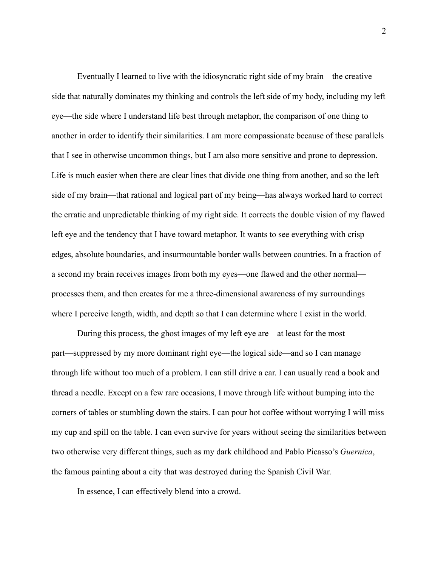Eventually I learned to live with the idiosyncratic right side of my brain—the creative side that naturally dominates my thinking and controls the left side of my body, including my left eye—the side where I understand life best through metaphor, the comparison of one thing to another in order to identify their similarities. I am more compassionate because of these parallels that I see in otherwise uncommon things, but I am also more sensitive and prone to depression. Life is much easier when there are clear lines that divide one thing from another, and so the left side of my brain—that rational and logical part of my being—has always worked hard to correct the erratic and unpredictable thinking of my right side. It corrects the double vision of my flawed left eye and the tendency that I have toward metaphor. It wants to see everything with crisp edges, absolute boundaries, and insurmountable border walls between countries. In a fraction of a second my brain receives images from both my eyes—one flawed and the other normal processes them, and then creates for me a three-dimensional awareness of my surroundings where I perceive length, width, and depth so that I can determine where I exist in the world.

During this process, the ghost images of my left eye are—at least for the most part—suppressed by my more dominant right eye—the logical side—and so I can manage through life without too much of a problem. I can still drive a car. I can usually read a book and thread a needle. Except on a few rare occasions, I move through life without bumping into the corners of tables or stumbling down the stairs. I can pour hot coffee without worrying I will miss my cup and spill on the table. I can even survive for years without seeing the similarities between two otherwise very different things, such as my dark childhood and Pablo Picasso's *Guernica*, the famous painting about a city that was destroyed during the Spanish Civil War.

In essence, I can effectively blend into a crowd.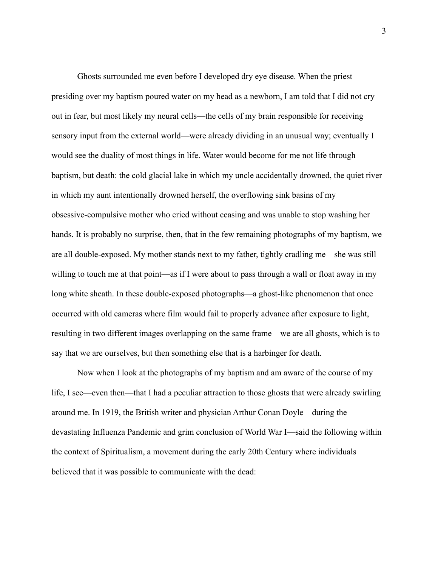Ghosts surrounded me even before I developed dry eye disease. When the priest presiding over my baptism poured water on my head as a newborn, I am told that I did not cry out in fear, but most likely my neural cells—the cells of my brain responsible for receiving sensory input from the external world—were already dividing in an unusual way; eventually I would see the duality of most things in life. Water would become for me not life through baptism, but death: the cold glacial lake in which my uncle accidentally drowned, the quiet river in which my aunt intentionally drowned herself, the overflowing sink basins of my obsessive-compulsive mother who cried without ceasing and was unable to stop washing her hands. It is probably no surprise, then, that in the few remaining photographs of my baptism, we are all double-exposed. My mother stands next to my father, tightly cradling me—she was still willing to touch me at that point—as if I were about to pass through a wall or float away in my long white sheath. In these double-exposed photographs—a ghost-like phenomenon that once occurred with old cameras where film would fail to properly advance after exposure to light, resulting in two different images overlapping on the same frame—we are all ghosts, which is to say that we are ourselves, but then something else that is a harbinger for death.

Now when I look at the photographs of my baptism and am aware of the course of my life, I see—even then—that I had a peculiar attraction to those ghosts that were already swirling around me. In 1919, the British writer and physician Arthur Conan Doyle—during the devastating Influenza Pandemic and grim conclusion of World War I—said the following within the context of Spiritualism, a movement during the early 20th Century where individuals believed that it was possible to communicate with the dead: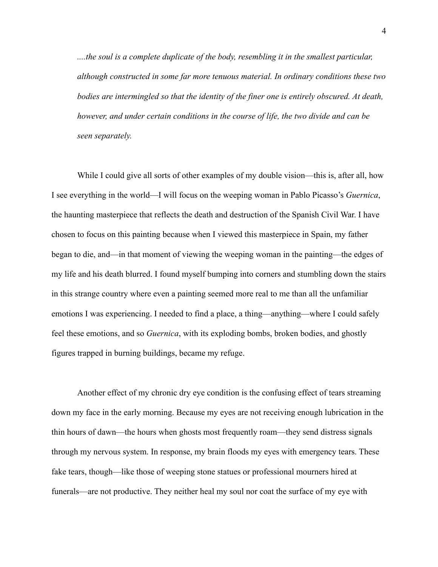*....the soul is a complete duplicate of the body, resembling it in the smallest particular, although constructed in some far more tenuous material. In ordinary conditions these two bodies are intermingled so that the identity of the finer one is entirely obscured. At death, however, and under certain conditions in the course of life, the two divide and can be seen separately.*

While I could give all sorts of other examples of my double vision—this is, after all, how I see everything in the world—I will focus on the weeping woman in Pablo Picasso's *Guernica*, the haunting masterpiece that reflects the death and destruction of the Spanish Civil War. I have chosen to focus on this painting because when I viewed this masterpiece in Spain, my father began to die, and—in that moment of viewing the weeping woman in the painting—the edges of my life and his death blurred. I found myself bumping into corners and stumbling down the stairs in this strange country where even a painting seemed more real to me than all the unfamiliar emotions I was experiencing. I needed to find a place, a thing—anything—where I could safely feel these emotions, and so *Guernica*, with its exploding bombs, broken bodies, and ghostly figures trapped in burning buildings, became my refuge.

Another effect of my chronic dry eye condition is the confusing effect of tears streaming down my face in the early morning. Because my eyes are not receiving enough lubrication in the thin hours of dawn—the hours when ghosts most frequently roam—they send distress signals through my nervous system. In response, my brain floods my eyes with emergency tears. These fake tears, though—like those of weeping stone statues or professional mourners hired at funerals—are not productive. They neither heal my soul nor coat the surface of my eye with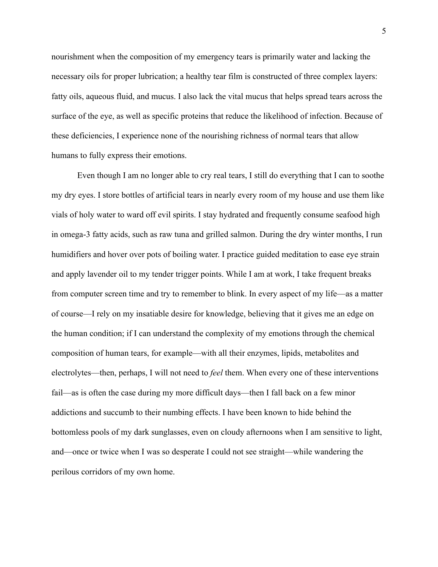nourishment when the composition of my emergency tears is primarily water and lacking the necessary oils for proper lubrication; a healthy tear film is constructed of three complex layers: fatty oils, aqueous fluid, and mucus. I also lack the vital mucus that helps spread tears across the surface of the eye, as well as specific proteins that reduce the likelihood of infection. Because of these deficiencies, I experience none of the nourishing richness of normal tears that allow humans to fully express their emotions.

Even though I am no longer able to cry real tears, I still do everything that I can to soothe my dry eyes. I store bottles of artificial tears in nearly every room of my house and use them like vials of holy water to ward off evil spirits. I stay hydrated and frequently consume seafood high in omega-3 fatty acids, such as raw tuna and grilled salmon. During the dry winter months, I run humidifiers and hover over pots of boiling water. I practice guided meditation to ease eye strain and apply lavender oil to my tender trigger points. While I am at work, I take frequent breaks from computer screen time and try to remember to blink. In every aspect of my life—as a matter of course—I rely on my insatiable desire for knowledge, believing that it gives me an edge on the human condition; if I can understand the complexity of my emotions through the chemical composition of human tears, for example—with all their enzymes, lipids, metabolites and electrolytes—then, perhaps, I will not need to *feel* them. When every one of these interventions fail—as is often the case during my more difficult days—then I fall back on a few minor addictions and succumb to their numbing effects. I have been known to hide behind the bottomless pools of my dark sunglasses, even on cloudy afternoons when I am sensitive to light, and—once or twice when I was so desperate I could not see straight—while wandering the perilous corridors of my own home.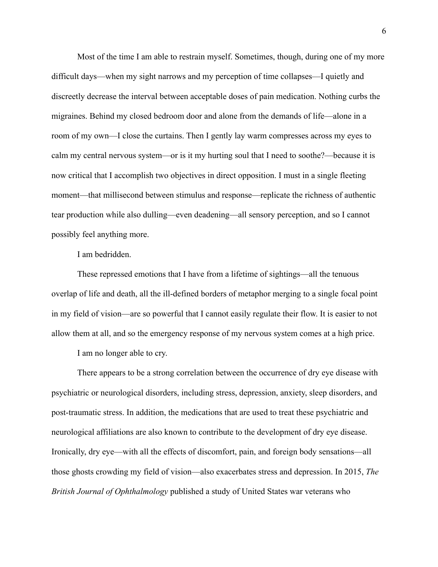Most of the time I am able to restrain myself. Sometimes, though, during one of my more difficult days—when my sight narrows and my perception of time collapses—I quietly and discreetly decrease the interval between acceptable doses of pain medication. Nothing curbs the migraines. Behind my closed bedroom door and alone from the demands of life—alone in a room of my own—I close the curtains. Then I gently lay warm compresses across my eyes to calm my central nervous system—or is it my hurting soul that I need to soothe?—because it is now critical that I accomplish two objectives in direct opposition. I must in a single fleeting moment—that millisecond between stimulus and response—replicate the richness of authentic tear production while also dulling—even deadening—all sensory perception, and so I cannot possibly feel anything more.

I am bedridden.

These repressed emotions that I have from a lifetime of sightings—all the tenuous overlap of life and death, all the ill-defined borders of metaphor merging to a single focal point in my field of vision—are so powerful that I cannot easily regulate their flow. It is easier to not allow them at all, and so the emergency response of my nervous system comes at a high price.

I am no longer able to cry.

There appears to be a strong correlation between the occurrence of dry eye disease with psychiatric or neurological disorders, including stress, depression, anxiety, sleep disorders, and post-traumatic stress. In addition, the medications that are used to treat these psychiatric and neurological affiliations are also known to contribute to the development of dry eye disease. Ironically, dry eye—with all the effects of discomfort, pain, and foreign body sensations—all those ghosts crowding my field of vision—also exacerbates stress and depression. In 2015, *The British Journal of Ophthalmology* published a study of United States war veterans who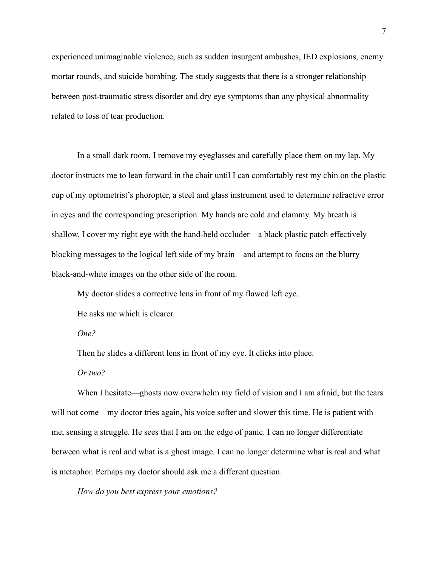experienced unimaginable violence, such as sudden insurgent ambushes, IED explosions, enemy mortar rounds, and suicide bombing. The study suggests that there is a stronger relationship between post-traumatic stress disorder and dry eye symptoms than any physical abnormality related to loss of tear production.

In a small dark room, I remove my eyeglasses and carefully place them on my lap. My doctor instructs me to lean forward in the chair until I can comfortably rest my chin on the plastic cup of my optometrist's phoropter, a steel and glass instrument used to determine refractive error in eyes and the corresponding prescription. My hands are cold and clammy. My breath is shallow. I cover my right eye with the hand-held occluder—a black plastic patch effectively blocking messages to the logical left side of my brain—and attempt to focus on the blurry black-and-white images on the other side of the room.

My doctor slides a corrective lens in front of my flawed left eye.

He asks me which is clearer.

*One?*

Then he slides a different lens in front of my eye. It clicks into place.

*Or two?*

When I hesitate—ghosts now overwhelm my field of vision and I am afraid, but the tears will not come—my doctor tries again, his voice softer and slower this time. He is patient with me, sensing a struggle. He sees that I am on the edge of panic. I can no longer differentiate between what is real and what is a ghost image. I can no longer determine what is real and what is metaphor. Perhaps my doctor should ask me a different question.

*How do you best express your emotions?*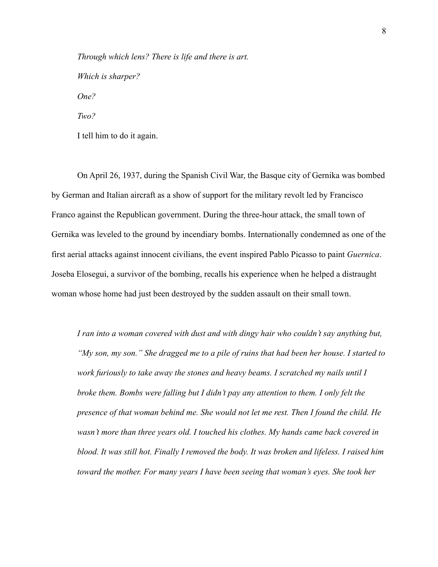*Through which lens? There is life and there is art. Which is sharper? One? Two?*

I tell him to do it again.

On April 26, 1937, during the Spanish Civil War, the Basque city of Gernika was bombed by German and Italian aircraft as a show of support for the military revolt led by Francisco Franco against the Republican government. During the three-hour attack, the small town of Gernika was leveled to the ground by incendiary bombs. Internationally condemned as one of the first aerial attacks against innocent civilians, the event inspired Pablo Picasso to paint *Guernica*. Joseba Elosegui, a survivor of the bombing, recalls his experience when he helped a distraught woman whose home had just been destroyed by the sudden assault on their small town.

*I ran into a woman covered with dust and with dingy hair who couldn't say anything but, "My son, my son." She dragged me to a pile of ruins that had been her house. I started to work furiously to take away the stones and heavy beams. I scratched my nails until I broke them. Bombs were falling but I didn't pay any attention to them. I only felt the presence of that woman behind me. She would not let me rest. Then I found the child. He wasn't more than three years old. I touched his clothes. My hands came back covered in blood. It was still hot. Finally I removed the body. It was broken and lifeless. I raised him toward the mother. For many years I have been seeing that woman's eyes. She took her*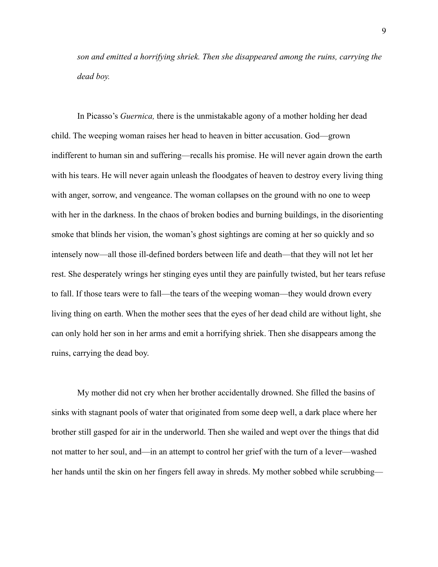*son and emitted a horrifying shriek. Then she disappeared among the ruins, carrying the dead boy.*

In Picasso's *Guernica,* there is the unmistakable agony of a mother holding her dead child. The weeping woman raises her head to heaven in bitter accusation. God—grown indifferent to human sin and suffering—recalls his promise. He will never again drown the earth with his tears. He will never again unleash the floodgates of heaven to destroy every living thing with anger, sorrow, and vengeance. The woman collapses on the ground with no one to weep with her in the darkness. In the chaos of broken bodies and burning buildings, in the disorienting smoke that blinds her vision, the woman's ghost sightings are coming at her so quickly and so intensely now—all those ill-defined borders between life and death—that they will not let her rest. She desperately wrings her stinging eyes until they are painfully twisted, but her tears refuse to fall. If those tears were to fall—the tears of the weeping woman—they would drown every living thing on earth. When the mother sees that the eyes of her dead child are without light, she can only hold her son in her arms and emit a horrifying shriek. Then she disappears among the ruins, carrying the dead boy.

My mother did not cry when her brother accidentally drowned. She filled the basins of sinks with stagnant pools of water that originated from some deep well, a dark place where her brother still gasped for air in the underworld. Then she wailed and wept over the things that did not matter to her soul, and—in an attempt to control her grief with the turn of a lever—washed her hands until the skin on her fingers fell away in shreds. My mother sobbed while scrubbing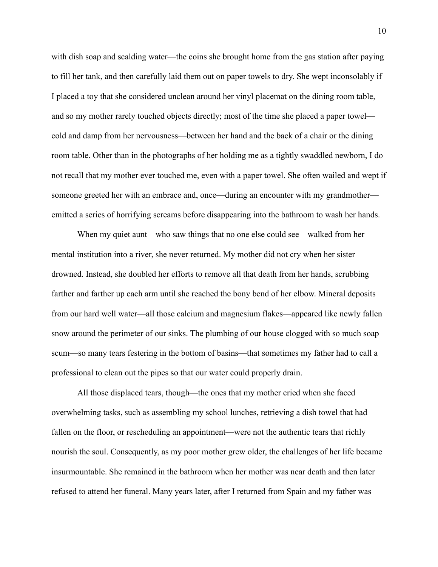with dish soap and scalding water—the coins she brought home from the gas station after paying to fill her tank, and then carefully laid them out on paper towels to dry. She wept inconsolably if I placed a toy that she considered unclean around her vinyl placemat on the dining room table, and so my mother rarely touched objects directly; most of the time she placed a paper towel cold and damp from her nervousness—between her hand and the back of a chair or the dining room table. Other than in the photographs of her holding me as a tightly swaddled newborn, I do not recall that my mother ever touched me, even with a paper towel. She often wailed and wept if someone greeted her with an embrace and, once—during an encounter with my grandmother emitted a series of horrifying screams before disappearing into the bathroom to wash her hands.

When my quiet aunt—who saw things that no one else could see—walked from her mental institution into a river, she never returned. My mother did not cry when her sister drowned. Instead, she doubled her efforts to remove all that death from her hands, scrubbing farther and farther up each arm until she reached the bony bend of her elbow. Mineral deposits from our hard well water—all those calcium and magnesium flakes—appeared like newly fallen snow around the perimeter of our sinks. The plumbing of our house clogged with so much soap scum—so many tears festering in the bottom of basins—that sometimes my father had to call a professional to clean out the pipes so that our water could properly drain.

All those displaced tears, though—the ones that my mother cried when she faced overwhelming tasks, such as assembling my school lunches, retrieving a dish towel that had fallen on the floor, or rescheduling an appointment—were not the authentic tears that richly nourish the soul. Consequently, as my poor mother grew older, the challenges of her life became insurmountable. She remained in the bathroom when her mother was near death and then later refused to attend her funeral. Many years later, after I returned from Spain and my father was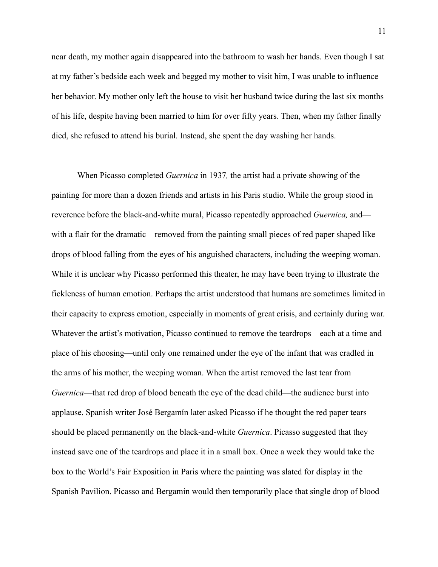near death, my mother again disappeared into the bathroom to wash her hands. Even though I sat at my father's bedside each week and begged my mother to visit him, I was unable to influence her behavior. My mother only left the house to visit her husband twice during the last six months of his life, despite having been married to him for over fifty years. Then, when my father finally died, she refused to attend his burial. Instead, she spent the day washing her hands.

When Picasso completed *Guernica* in 1937*,* the artist had a private showing of the painting for more than a dozen friends and artists in his Paris studio. While the group stood in reverence before the black-and-white mural, Picasso repeatedly approached *Guernica,* and with a flair for the dramatic—removed from the painting small pieces of red paper shaped like drops of blood falling from the eyes of his anguished characters, including the weeping woman. While it is unclear why Picasso performed this theater, he may have been trying to illustrate the fickleness of human emotion. Perhaps the artist understood that humans are sometimes limited in their capacity to express emotion, especially in moments of great crisis, and certainly during war. Whatever the artist's motivation, Picasso continued to remove the teardrops—each at a time and place of his choosing—until only one remained under the eye of the infant that was cradled in the arms of his mother, the weeping woman. When the artist removed the last tear from *Guernica*—that red drop of blood beneath the eye of the dead child—the audience burst into applause. Spanish writer José Bergamín later asked Picasso if he thought the red paper tears should be placed permanently on the black-and-white *Guernica*. Picasso suggested that they instead save one of the teardrops and place it in a small box. Once a week they would take the box to the World's Fair Exposition in Paris where the painting was slated for display in the Spanish Pavilion. Picasso and Bergamín would then temporarily place that single drop of blood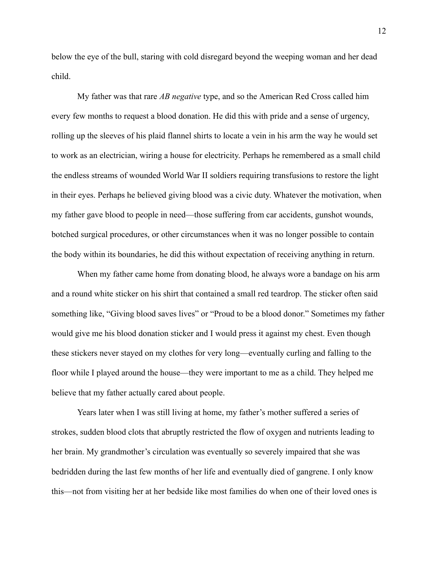below the eye of the bull, staring with cold disregard beyond the weeping woman and her dead child.

My father was that rare *AB negative* type, and so the American Red Cross called him every few months to request a blood donation. He did this with pride and a sense of urgency, rolling up the sleeves of his plaid flannel shirts to locate a vein in his arm the way he would set to work as an electrician, wiring a house for electricity. Perhaps he remembered as a small child the endless streams of wounded World War II soldiers requiring transfusions to restore the light in their eyes. Perhaps he believed giving blood was a civic duty. Whatever the motivation, when my father gave blood to people in need—those suffering from car accidents, gunshot wounds, botched surgical procedures, or other circumstances when it was no longer possible to contain the body within its boundaries, he did this without expectation of receiving anything in return.

When my father came home from donating blood, he always wore a bandage on his arm and a round white sticker on his shirt that contained a small red teardrop. The sticker often said something like, "Giving blood saves lives" or "Proud to be a blood donor." Sometimes my father would give me his blood donation sticker and I would press it against my chest. Even though these stickers never stayed on my clothes for very long—eventually curling and falling to the floor while I played around the house—they were important to me as a child. They helped me believe that my father actually cared about people.

Years later when I was still living at home, my father's mother suffered a series of strokes, sudden blood clots that abruptly restricted the flow of oxygen and nutrients leading to her brain. My grandmother's circulation was eventually so severely impaired that she was bedridden during the last few months of her life and eventually died of gangrene. I only know this—not from visiting her at her bedside like most families do when one of their loved ones is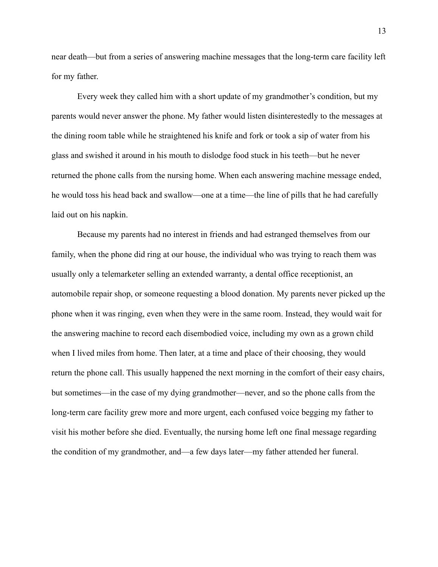near death—but from a series of answering machine messages that the long-term care facility left for my father.

Every week they called him with a short update of my grandmother's condition, but my parents would never answer the phone. My father would listen disinterestedly to the messages at the dining room table while he straightened his knife and fork or took a sip of water from his glass and swished it around in his mouth to dislodge food stuck in his teeth—but he never returned the phone calls from the nursing home. When each answering machine message ended, he would toss his head back and swallow—one at a time—the line of pills that he had carefully laid out on his napkin.

Because my parents had no interest in friends and had estranged themselves from our family, when the phone did ring at our house, the individual who was trying to reach them was usually only a telemarketer selling an extended warranty, a dental office receptionist, an automobile repair shop, or someone requesting a blood donation. My parents never picked up the phone when it was ringing, even when they were in the same room. Instead, they would wait for the answering machine to record each disembodied voice, including my own as a grown child when I lived miles from home. Then later, at a time and place of their choosing, they would return the phone call. This usually happened the next morning in the comfort of their easy chairs, but sometimes—in the case of my dying grandmother—never, and so the phone calls from the long-term care facility grew more and more urgent, each confused voice begging my father to visit his mother before she died. Eventually, the nursing home left one final message regarding the condition of my grandmother, and—a few days later—my father attended her funeral.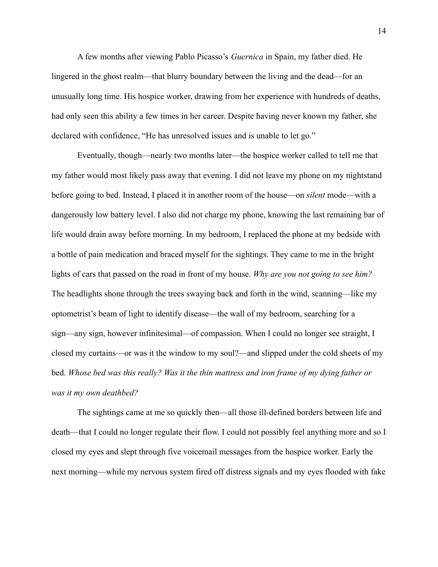A few months after viewing Pablo Picasso's *Guernica* in Spain, my father died. He lingered in the ghost realm—that blurry boundary between the living and the dead—for an unusually long time. His hospice worker, drawing from her experience with hundreds of deaths, had only seen this ability a few times in her career. Despite having never known my father, she declared with confidence, "He has unresolved issues and is unable to let go."

Eventually, though—nearly two months later—the hospice worker called to tell me that my father would most likely pass away that evening. I did not leave my phone on my nightstand before going to bed. Instead, I placed it in another room of the house—on *silent* mode—with a dangerously low battery level. I also did not charge my phone, knowing the last remaining bar of life would drain away before morning. In my bedroom, I replaced the phone at my bedside with a bottle of pain medication and braced myself for the sightings. They came to me in the bright lights of cars that passed on the road in front of my house. *Why are you not going to see him?* The headlights shone through the trees swaying back and forth in the wind, scanning—like my optometrist's beam of light to identify disease—the wall of my bedroom, searching for a sign—any sign, however infinitesimal—of compassion. When I could no longer see straight, I closed my curtains—or was it the window to my soul?—and slipped under the cold sheets of my bed. *Whose bed was this really? Was it the thin mattress and iron frame of my dying father or was it my own deathbed?*

The sightings came at me so quickly then—all those ill-defined borders between life and death—that I could no longer regulate their flow. I could not possibly feel anything more and so I closed my eyes and slept through five voicemail messages from the hospice worker. Early the next morning—while my nervous system fired off distress signals and my eyes flooded with fake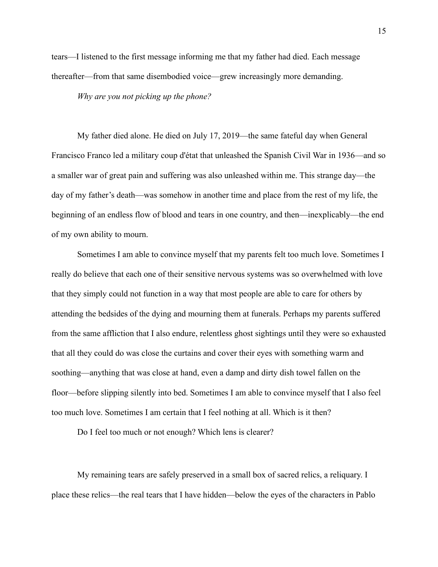tears—I listened to the first message informing me that my father had died. Each message thereafter—from that same disembodied voice—grew increasingly more demanding.

*Why are you not picking up the phone?*

My father died alone. He died on July 17, 2019—the same fateful day when General Francisco Franco led a military coup d'état that unleashed the Spanish Civil War in 1936—and so a smaller war of great pain and suffering was also unleashed within me. This strange day—the day of my father's death—was somehow in another time and place from the rest of my life, the beginning of an endless flow of blood and tears in one country, and then—inexplicably—the end of my own ability to mourn.

Sometimes I am able to convince myself that my parents felt too much love. Sometimes I really do believe that each one of their sensitive nervous systems was so overwhelmed with love that they simply could not function in a way that most people are able to care for others by attending the bedsides of the dying and mourning them at funerals. Perhaps my parents suffered from the same affliction that I also endure, relentless ghost sightings until they were so exhausted that all they could do was close the curtains and cover their eyes with something warm and soothing—anything that was close at hand, even a damp and dirty dish towel fallen on the floor—before slipping silently into bed. Sometimes I am able to convince myself that I also feel too much love. Sometimes I am certain that I feel nothing at all. Which is it then?

Do I feel too much or not enough? Which lens is clearer?

My remaining tears are safely preserved in a small box of sacred relics, a reliquary. I place these relics—the real tears that I have hidden—below the eyes of the characters in Pablo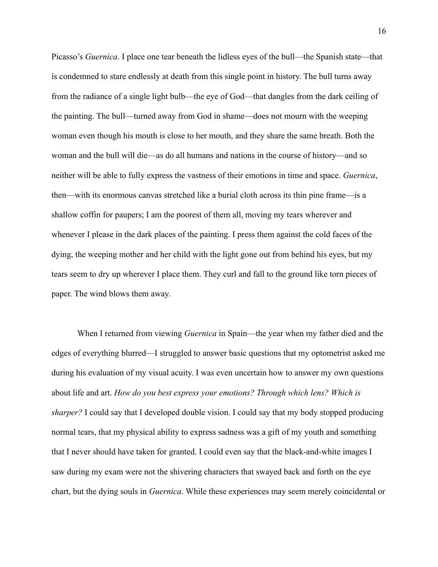Picasso's *Guernica*. I place one tear beneath the lidless eyes of the bull—the Spanish state—that is condemned to stare endlessly at death from this single point in history. The bull turns away from the radiance of a single light bulb—the eye of God—that dangles from the dark ceiling of the painting. The bull—turned away from God in shame—does not mourn with the weeping woman even though his mouth is close to her mouth, and they share the same breath. Both the woman and the bull will die—as do all humans and nations in the course of history—and so neither will be able to fully express the vastness of their emotions in time and space. *Guernica*, then—with its enormous canvas stretched like a burial cloth across its thin pine frame—is a shallow coffin for paupers; I am the poorest of them all, moving my tears wherever and whenever I please in the dark places of the painting. I press them against the cold faces of the dying, the weeping mother and her child with the light gone out from behind his eyes, but my tears seem to dry up wherever I place them. They curl and fall to the ground like torn pieces of paper. The wind blows them away.

When I returned from viewing *Guernica* in Spain—the year when my father died and the edges of everything blurred—I struggled to answer basic questions that my optometrist asked me during his evaluation of my visual acuity. I was even uncertain how to answer my own questions about life and art. *How do you best express your emotions? Through which lens? Which is sharper?* I could say that I developed double vision. I could say that my body stopped producing normal tears, that my physical ability to express sadness was a gift of my youth and something that I never should have taken for granted. I could even say that the black-and-white images I saw during my exam were not the shivering characters that swayed back and forth on the eye chart, but the dying souls in *Guernica*. While these experiences may seem merely coincidental or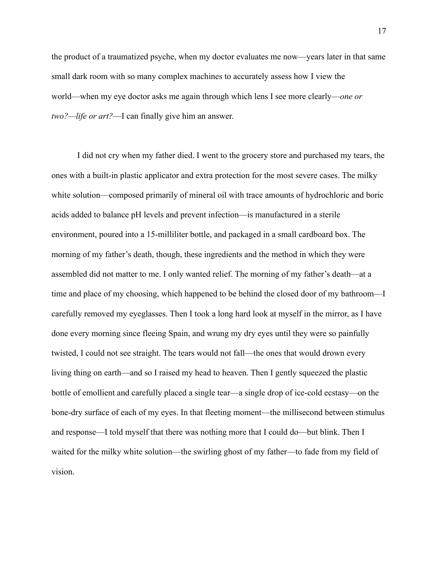the product of a traumatized psyche, when my doctor evaluates me now—years later in that same small dark room with so many complex machines to accurately assess how I view the world—when my eye doctor asks me again through which lens I see more clearly—*one or two?—life or art?*—I can finally give him an answer.

I did not cry when my father died. I went to the grocery store and purchased my tears, the ones with a built-in plastic applicator and extra protection for the most severe cases. The milky white solution—composed primarily of mineral oil with trace amounts of hydrochloric and boric acids added to balance pH levels and prevent infection—is manufactured in a sterile environment, poured into a 15-milliliter bottle, and packaged in a small cardboard box. The morning of my father's death, though, these ingredients and the method in which they were assembled did not matter to me. I only wanted relief. The morning of my father's death—at a time and place of my choosing, which happened to be behind the closed door of my bathroom—I carefully removed my eyeglasses. Then I took a long hard look at myself in the mirror, as I have done every morning since fleeing Spain, and wrung my dry eyes until they were so painfully twisted, I could not see straight. The tears would not fall—the ones that would drown every living thing on earth—and so I raised my head to heaven. Then I gently squeezed the plastic bottle of emollient and carefully placed a single tear—a single drop of ice-cold ecstasy—on the bone-dry surface of each of my eyes. In that fleeting moment—the millisecond between stimulus and response—I told myself that there was nothing more that I could do—but blink. Then I waited for the milky white solution—the swirling ghost of my father—to fade from my field of vision.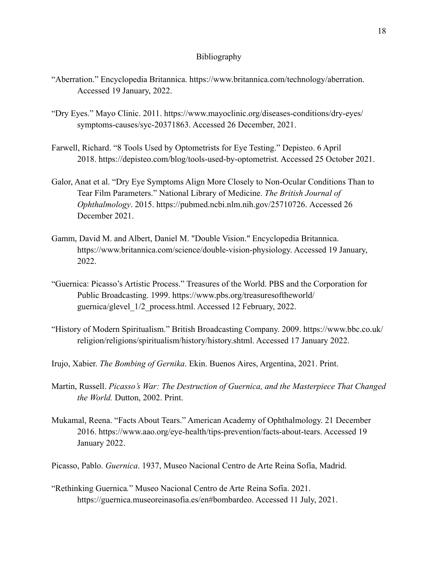## Bibliography

- "Aberration." Encyclopedia Britannica. https://www.britannica.com/technology/aberration. Accessed 19 January, 2022.
- "Dry Eyes." Mayo Clinic. 2011. https://www.mayoclinic.org/diseases-conditions/dry-eyes/ symptoms-causes/syc-20371863. Accessed 26 December, 2021.
- Farwell, Richard. "8 Tools Used by Optometrists for Eye Testing." Depisteo. 6 April 2018. https://depisteo.com/blog/tools-used-by-optometrist. Accessed 25 October 2021.
- Galor, Anat et al. "Dry Eye Symptoms Align More Closely to Non-Ocular Conditions Than to Tear Film Parameters." National Library of Medicine. *The British Journal of Ophthalmology*. 2015. https://pubmed.ncbi.nlm.nih.gov/25710726. Accessed 26 December 2021.
- Gamm, David M. and Albert, Daniel M. "Double Vision." Encyclopedia Britannica. https://www.britannica.com/science/double-vision-physiology. Accessed 19 January, 2022.
- "Guernica: Picasso's Artistic Process." Treasures of the World. PBS and the Corporation for Public Broadcasting. 1999. https://www.pbs.org/treasuresoftheworld/ guernica/glevel\_1/2\_process.html. Accessed 12 February, 2022.
- "History of Modern Spiritualism." British Broadcasting Company. 2009. https://www.bbc.co.uk/ religion/religions/spiritualism/history/history.shtml. Accessed 17 January 2022.
- Irujo, Xabier. *The Bombing of Gernika*. Ekin. Buenos Aires, Argentina, 2021. Print.
- Martin, Russell. *Picasso's War: The Destruction of Guernica, and the Masterpiece That Changed the World.* Dutton, 2002. Print.
- Mukamal, Reena. "Facts About Tears." American Academy of Ophthalmology. 21 December 2016. https://www.aao.org/eye-health/tips-prevention/facts-about-tears. Accessed 19 January 2022.

Picasso, Pablo. *Guernica*. 1937, Museo Nacional Centro de Arte Reina Sofía, Madrid.

"Rethinking Guernica*.*" Museo Nacional Centro de Arte Reina Sofía. 2021. https://guernica.museoreinasofia.es/en#bombardeo. Accessed 11 July, 2021.